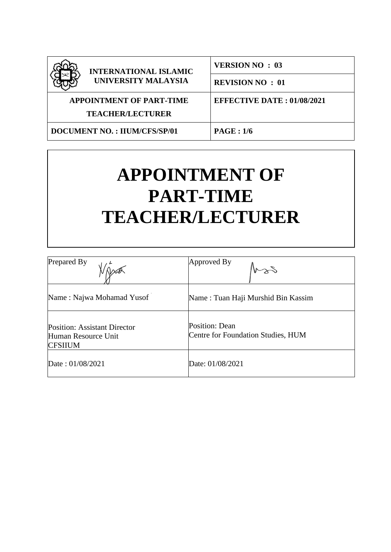

**INTERNATIONAL ISLAMIC UNIVERSITY MALAYSIA**

**VERSION NO : 03**

**REVISION NO : 01**

**EFFECTIVE DATE : 01/08/2021**

**APPOINTMENT OF PART-TIME**

**TEACHER/LECTURER**

**DOCUMENT NO. : IIUM/CFS/SP/01 PAGE : 1/6**

# **APPOINTMENT OF PART-TIME TEACHER/LECTURER**

| Prepared By                                                                  | Approved By                                          |
|------------------------------------------------------------------------------|------------------------------------------------------|
| Name: Najwa Mohamad Yusof                                                    | Name: Tuan Haji Murshid Bin Kassim                   |
| <b>Position: Assistant Director</b><br>Human Resource Unit<br><b>CFSIIUM</b> | Position: Dean<br>Centre for Foundation Studies, HUM |
| Date: 01/08/2021                                                             | Date: 01/08/2021                                     |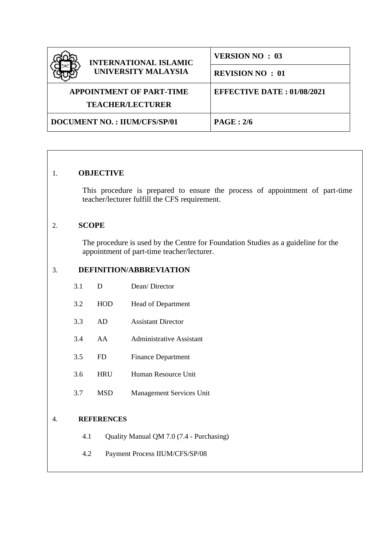| <b>INTERNATIONAL ISLAMIC</b>        | <b>VERSION NO: 03</b>             |  |
|-------------------------------------|-----------------------------------|--|
| UNIVERSITY MALAYSIA                 | <b>REVISION NO: 01</b>            |  |
| <b>APPOINTMENT OF PART-TIME</b>     | <b>EFFECTIVE DATE: 01/08/2021</b> |  |
| <b>TEACHER/LECTURER</b>             |                                   |  |
| <b>DOCUMENT NO.: IIUM/CFS/SP/01</b> | PAGE: 2/6                         |  |

# 1. **OBJECTIVE**

This procedure is prepared to ensure the process of appointment of part-time teacher/lecturer fulfill the CFS requirement.

# 2. **SCOPE**

The procedure is used by the Centre for Foundation Studies as a guideline for the appointment of part-time teacher/lecturer.

# 3. **DEFINITION/ABBREVIATION**

| 3.1 | D | Dean/Director |
|-----|---|---------------|
|     |   |               |

- 3.2 HOD Head of Department
- 3.3 AD Assistant Director
- 3.4 AA Administrative Assistant
- 3.5 FD Finance Department
- 3.6 HRU Human Resource Unit
- 3.7 MSD Management Services Unit

# 4. **REFERENCES**

- 4.1 Quality Manual QM 7.0 (7.4 Purchasing)
- 4.2 Payment Process IIUM/CFS/SP/08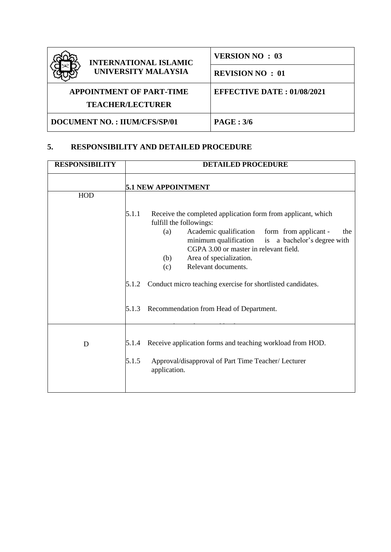| <b>INTERNATIONAL ISLAMIC</b><br><b>UNIVERSITY MALAYSIA</b> | <b>VERSION NO: 03</b>             |  |
|------------------------------------------------------------|-----------------------------------|--|
|                                                            | <b>REVISION NO: 01</b>            |  |
| <b>APPOINTMENT OF PART-TIME</b>                            | <b>EFFECTIVE DATE: 01/08/2021</b> |  |
| <b>TEACHER/LECTURER</b>                                    |                                   |  |
| <b>DOCUMENT NO.: IIUM/CFS/SP/01</b>                        | PAGE: 3/6                         |  |

# **5. RESPONSIBILITY AND DETAILED PROCEDURE**

| <b>RESPONSIBILITY</b> | <b>DETAILED PROCEDURE</b>                                                                                                                                                                                                                                                                                                                                                                                                                              |  |
|-----------------------|--------------------------------------------------------------------------------------------------------------------------------------------------------------------------------------------------------------------------------------------------------------------------------------------------------------------------------------------------------------------------------------------------------------------------------------------------------|--|
|                       | <b>5.1 NEW APPOINTMENT</b>                                                                                                                                                                                                                                                                                                                                                                                                                             |  |
| HOD                   |                                                                                                                                                                                                                                                                                                                                                                                                                                                        |  |
|                       | 5.1.1<br>Receive the completed application form from applicant, which<br>fulfill the followings:<br>Academic qualification<br>form from applicant -<br>(a)<br>the<br>minimum qualification<br>is a bachelor's degree with<br>CGPA 3.00 or master in relevant field.<br>Area of specialization.<br>(b)<br>Relevant documents.<br>(c)<br>Conduct micro teaching exercise for shortlisted candidates.<br>5.1.2<br>Recommendation from Head of Department. |  |
|                       | 5.1.3                                                                                                                                                                                                                                                                                                                                                                                                                                                  |  |
| D                     | Receive application forms and teaching workload from HOD.<br>5.1.4<br>5.1.5<br>Approval/disapproval of Part Time Teacher/ Lecturer<br>application.                                                                                                                                                                                                                                                                                                     |  |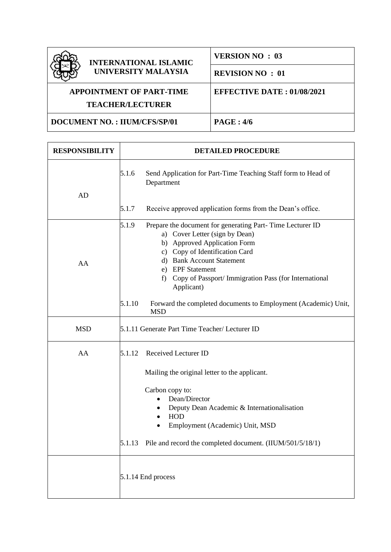

### **INTERNATIONAL ISLAMIC UNIVERSITY MALAYSIA**

**VERSION NO : 03**

**REVISION NO : 01**

# **APPOINTMENT OF PART-TIME**

**EFFECTIVE DATE : 01/08/2021**

**TEACHER/LECTURER**

**DOCUMENT NO. : IIUM/CFS/SP/01 PAGE : 4/6**

| <b>RESPONSIBILITY</b> | <b>DETAILED PROCEDURE</b>                                                                                                                                                                                                                                                                           |  |
|-----------------------|-----------------------------------------------------------------------------------------------------------------------------------------------------------------------------------------------------------------------------------------------------------------------------------------------------|--|
| AD                    | 5.1.6<br>Send Application for Part-Time Teaching Staff form to Head of<br>Department                                                                                                                                                                                                                |  |
|                       | 5.1.7<br>Receive approved application forms from the Dean's office.                                                                                                                                                                                                                                 |  |
| AA                    | 5.1.9<br>Prepare the document for generating Part-Time Lecturer ID<br>a) Cover Letter (sign by Dean)<br>b) Approved Application Form<br>c) Copy of Identification Card<br>d) Bank Account Statement<br>e) EPF Statement<br>Copy of Passport/Immigration Pass (for International<br>f)<br>Applicant) |  |
|                       | 5.1.10<br>Forward the completed documents to Employment (Academic) Unit,<br><b>MSD</b>                                                                                                                                                                                                              |  |
| <b>MSD</b>            | 5.1.11 Generate Part Time Teacher/ Lecturer ID                                                                                                                                                                                                                                                      |  |
| AA                    | Received Lecturer ID<br>5.1.12<br>Mailing the original letter to the applicant.                                                                                                                                                                                                                     |  |
|                       | Carbon copy to:<br>Dean/Director<br>Deputy Dean Academic & Internationalisation<br><b>HOD</b><br>$\bullet$<br>Employment (Academic) Unit, MSD<br>Pile and record the completed document. (IIUM/501/5/18/1)<br>5.1.13                                                                                |  |
|                       | 5.1.14 End process                                                                                                                                                                                                                                                                                  |  |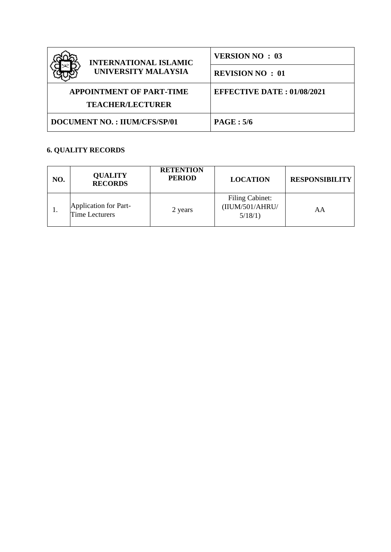| <b>INTERNATIONAL ISLAMIC</b><br>UNIVERSITY MALAYSIA | <b>VERSION NO: 03</b>             |  |
|-----------------------------------------------------|-----------------------------------|--|
|                                                     | <b>REVISION NO: 01</b>            |  |
| <b>APPOINTMENT OF PART-TIME</b>                     | <b>EFFECTIVE DATE: 01/08/2021</b> |  |
| <b>TEACHER/LECTURER</b>                             |                                   |  |
| <b>DOCUMENT NO.: IIUM/CFS/SP/01</b>                 | PAGE: 5/6                         |  |

# **6. QUALITY RECORDS**

| NO. | <b>QUALITY</b><br><b>RECORDS</b>               | <b>RETENTION</b><br><b>PERIOD</b> | <b>LOCATION</b>                                      | <b>RESPONSIBILITY</b> |
|-----|------------------------------------------------|-----------------------------------|------------------------------------------------------|-----------------------|
| ı.  | Application for Part-<br><b>Time Lecturers</b> | 2 years                           | <b>Filing Cabinet:</b><br>(IIUM/501/AHRU/<br>5/18/1) | AA                    |